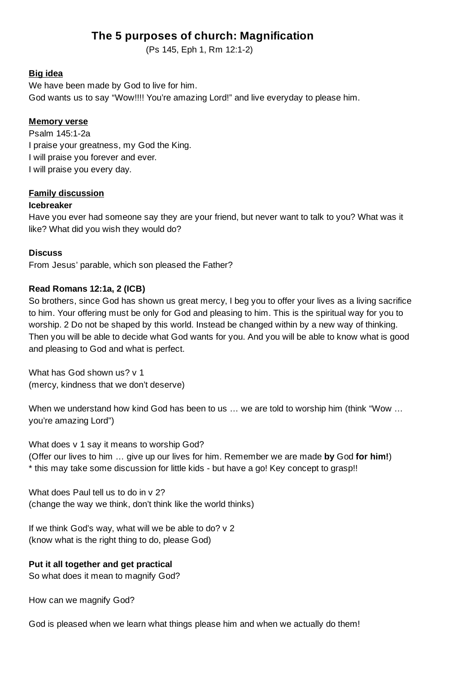# **The 5 purposes of church: Magnification**

(Ps 145, Eph 1, Rm 12:1-2)

## **Big idea**

We have been made by God to live for him. God wants us to say "Wow!!!! You're amazing Lord!" and live everyday to please him.

## **Memory verse**

Psalm 145:1-2a I praise your greatness, my God the King. I will praise you forever and ever. I will praise you every day.

## **Family discussion**

#### **Icebreaker**

Have you ever had someone say they are your friend, but never want to talk to you? What was it like? What did you wish they would do?

## **Discuss**

From Jesus' parable, which son pleased the Father?

## **Read Romans 12:1a, 2 (ICB)**

So brothers, since God has shown us great mercy, I beg you to offer your lives as a living sacrifice to him. Your offering must be only for God and pleasing to him. This is the spiritual way for you to worship. 2 Do not be shaped by this world. Instead be changed within by a new way of thinking. Then you will be able to decide what God wants for you. And you will be able to know what is good and pleasing to God and what is perfect.

What has God shown us? v 1 (mercy, kindness that we don't deserve)

When we understand how kind God has been to us … we are told to worship him (think "Wow … you're amazing Lord")

What does v 1 say it means to worship God? (Offer our lives to him … give up our lives for him. Remember we are made **by** God **for him!**) \* this may take some discussion for little kids - but have a go! Key concept to grasp!!

What does Paul tell us to do in y 2? (change the way we think, don't think like the world thinks)

If we think God's way, what will we be able to do? v 2 (know what is the right thing to do, please God)

## **Put it all together and get practical**

So what does it mean to magnify God?

How can we magnify God?

God is pleased when we learn what things please him and when we actually do them!